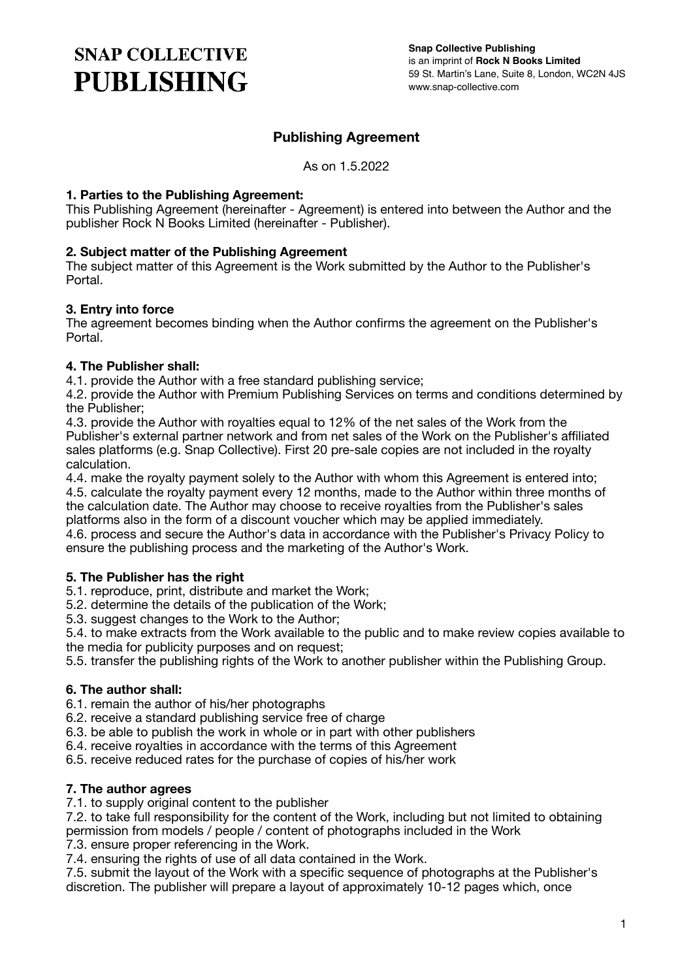# **SNAP COLLECTIVE PUBLISHING**

# **Publishing Agreement**

As on 1.5.2022

### **1. Parties to the Publishing Agreement:**

This Publishing Agreement (hereinafter - Agreement) is entered into between the Author and the publisher Rock N Books Limited (hereinafter - Publisher).

### **2. Subject matter of the Publishing Agreement**

The subject matter of this Agreement is the Work submitted by the Author to the Publisher's Portal.

### **3. Entry into force**

The agreement becomes binding when the Author confirms the agreement on the Publisher's Portal.

### **4. The Publisher shall:**

4.1. provide the Author with a free standard publishing service;

4.2. provide the Author with Premium Publishing Services on terms and conditions determined by the Publisher;

4.3. provide the Author with royalties equal to 12% of the net sales of the Work from the Publisher's external partner network and from net sales of the Work on the Publisher's affiliated sales platforms (e.g. Snap Collective). First 20 pre-sale copies are not included in the royalty calculation.

4.4. make the royalty payment solely to the Author with whom this Agreement is entered into; 4.5. calculate the royalty payment every 12 months, made to the Author within three months of the calculation date. The Author may choose to receive royalties from the Publisher's sales platforms also in the form of a discount voucher which may be applied immediately.

4.6. process and secure the Author's data in accordance with the Publisher's Privacy Policy to ensure the publishing process and the marketing of the Author's Work.

#### **5. The Publisher has the right**

5.1. reproduce, print, distribute and market the Work;

5.2. determine the details of the publication of the Work;

5.3. suggest changes to the Work to the Author;

5.4. to make extracts from the Work available to the public and to make review copies available to the media for publicity purposes and on request;

5.5. transfer the publishing rights of the Work to another publisher within the Publishing Group.

#### **6. The author shall:**

6.1. remain the author of his/her photographs

6.2. receive a standard publishing service free of charge

6.3. be able to publish the work in whole or in part with other publishers

6.4. receive royalties in accordance with the terms of this Agreement

6.5. receive reduced rates for the purchase of copies of his/her work

#### **7. The author agrees**

7.1. to supply original content to the publisher

7.2. to take full responsibility for the content of the Work, including but not limited to obtaining permission from models / people / content of photographs included in the Work

7.3. ensure proper referencing in the Work.

7.4. ensuring the rights of use of all data contained in the Work.

7.5. submit the layout of the Work with a specific sequence of photographs at the Publisher's discretion. The publisher will prepare a layout of approximately 10-12 pages which, once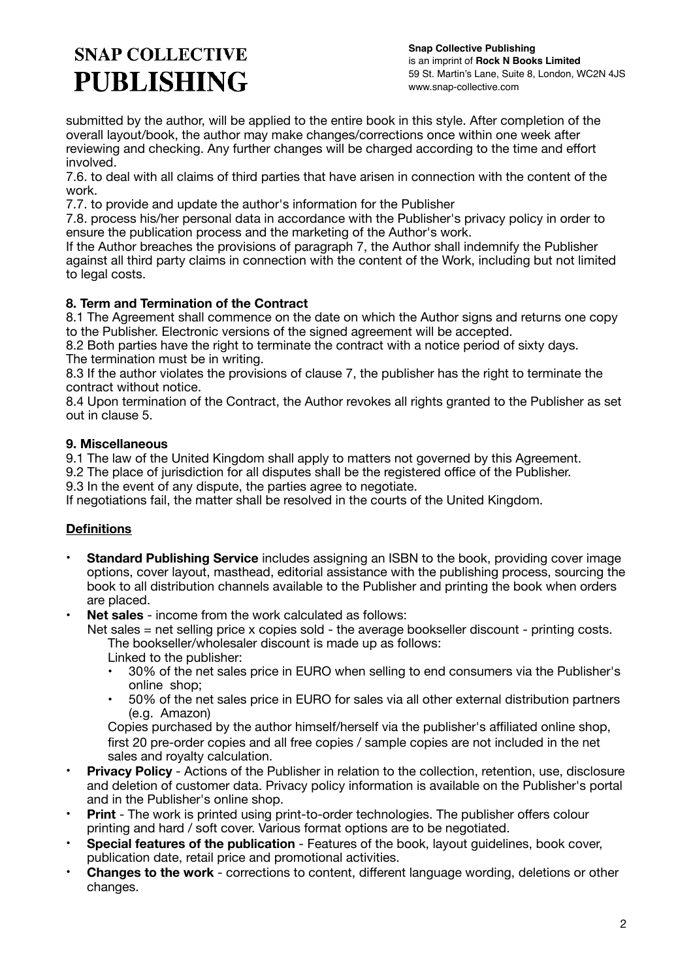# **SNAP COLLECTIVE PUBLISHING**

**Snap Collective Publishing** is an imprint of **Rock N Books Limited** 59 St. Martin's Lane, Suite 8, London, WC2N 4JS www.snap-collective.com

submitted by the author, will be applied to the entire book in this style. After completion of the overall layout/book, the author may make changes/corrections once within one week after reviewing and checking. Any further changes will be charged according to the time and effort involved.

7.6. to deal with all claims of third parties that have arisen in connection with the content of the work.

7.7. to provide and update the author's information for the Publisher

7.8. process his/her personal data in accordance with the Publisher's privacy policy in order to ensure the publication process and the marketing of the Author's work.

If the Author breaches the provisions of paragraph 7, the Author shall indemnify the Publisher against all third party claims in connection with the content of the Work, including but not limited to legal costs.

## **8. Term and Termination of the Contract**

8.1 The Agreement shall commence on the date on which the Author signs and returns one copy to the Publisher. Electronic versions of the signed agreement will be accepted.

8.2 Both parties have the right to terminate the contract with a notice period of sixty days. The termination must be in writing.

8.3 If the author violates the provisions of clause 7, the publisher has the right to terminate the contract without notice.

8.4 Upon termination of the Contract, the Author revokes all rights granted to the Publisher as set out in clause 5.

## **9. Miscellaneous**

9.1 The law of the United Kingdom shall apply to matters not governed by this Agreement.

9.2 The place of jurisdiction for all disputes shall be the registered office of the Publisher.

9.3 In the event of any dispute, the parties agree to negotiate.

If negotiations fail, the matter shall be resolved in the courts of the United Kingdom.

# **Definitions**

- **Standard Publishing Service** includes assigning an ISBN to the book, providing cover image options, cover layout, masthead, editorial assistance with the publishing process, sourcing the book to all distribution channels available to the Publisher and printing the book when orders are placed.
- **Net sales** income from the work calculated as follows:

 Net sales = net selling price x copies sold - the average bookseller discount - printing costs. The bookseller/wholesaler discount is made up as follows:

Linked to the publisher:

- 30% of the net sales price in EURO when selling to end consumers via the Publisher's online shop;
- 50% of the net sales price in EURO for sales via all other external distribution partners (e.g. Amazon)

Copies purchased by the author himself/herself via the publisher's affiliated online shop, first 20 pre-order copies and all free copies / sample copies are not included in the net sales and royalty calculation.

- **Privacy Policy** Actions of the Publisher in relation to the collection, retention, use, disclosure and deletion of customer data. Privacy policy information is available on the Publisher's portal and in the Publisher's online shop.
- **Print** The work is printed using print-to-order technologies. The publisher offers colour printing and hard / soft cover. Various format options are to be negotiated.
- **Special features of the publication** Features of the book, layout guidelines, book cover, publication date, retail price and promotional activities.
- **Changes to the work** corrections to content, different language wording, deletions or other changes.